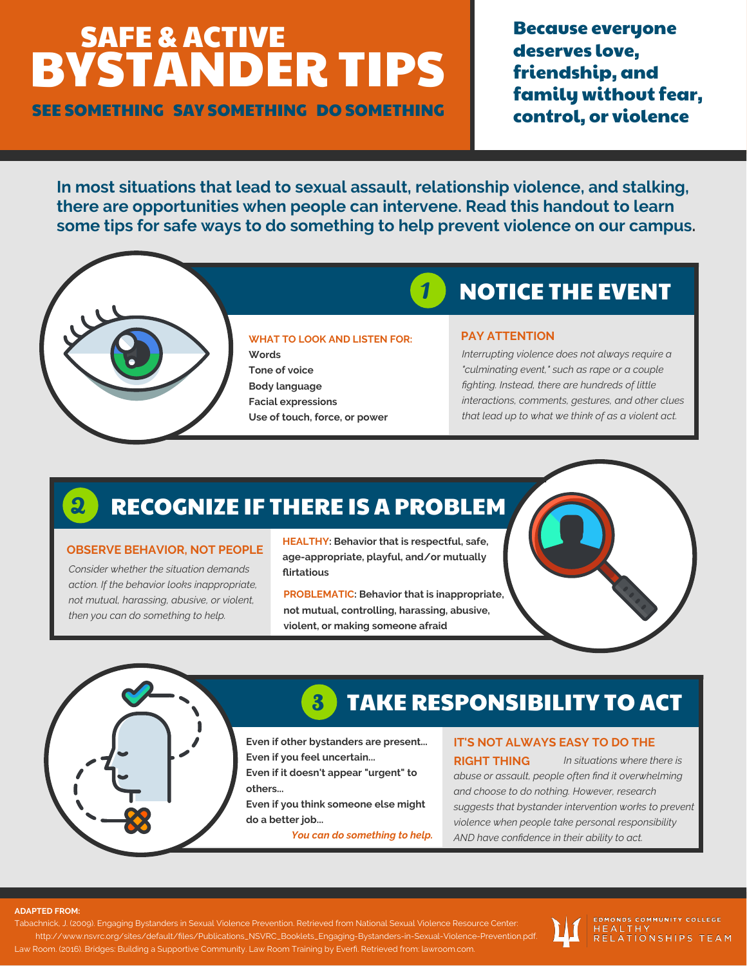# BYSTANDER TIPS SAFE & ACTIVE

SEE SOMETHING SAY SOMETHING DO SOMETHING

Because everyone deserves love, friendship, and family without fear, control, or violence

**In most situations that lead to sexual assault, relationship violence, and stalking, there are opportunities when people can intervene. Read this handout to learn some tips for safe ways to do something to help prevent violence on our campus.**

1



#### **WHAT TO LOOK AND LISTEN FOR:**

**Words Tone of voice Body language Facial expressions Use of touch, force, or power**

## NOTICE THE EVENT

#### **PAY ATTENTION**

*Interrupting violence does not always require a "culminating event," such as rape or a couple fighting. Instead, there are hundreds of little interactions, comments, gestures, and other clues that lead up to what we think of as a violent act.*

#### RECOGNIZE IF THERE IS A PROBLEM 2

#### **OBSERVE BEHAVIOR, NOT PEOPLE**

*Consider whether the situation demands action. If the behavior looks inappropriate, not mutual, harassing, abusive, or violent, then you can do something to help.*

**HEALTHY: Behavior that is respectful, safe, age-appropriate, playful, and/or mutually flirtatious**

**PROBLEMATIC: Behavior that is inappropriate, not mutual, controlling, harassing, abusive, violent, or making someone afraid**

### TAKE RESPONSIBILITY TO ACT

**Even if other bystanders are present... Even if you feel uncertain...**

**Even if it doesn't appear "urgent" to others...**

3

**Even if you think someone else might do a better job...**

*You can do something to help.*

#### **IT'S NOT ALWAYS EASY TO DO THE**

*In situations where there is abuse or assault, people often find it overwhelming and choose to do nothing. However, research suggests that bystander intervention works to prevent violence when people take personal responsibility AND have confidence in their ability to act.* **RIGHT THING**

#### **ADAPTED FROM:**

Tabachnick, J. (2009). Engaging Bystanders in Sexual Violence Prevention. Retrieved from National Sexual Violence Resource Center: http://www.nsvrc.org/sites/default/files/Publications\_NSVRC\_Booklets\_Engaging-Bystanders-in-Sexual-Violence-Prevention.pdf. Law Room. (2016). Bridges: Building a Supportive Community. Law Room Training by Everfi. Retrieved from: lawroom.com.



**EDMONDS COMMUNITY COLLEGE** HEALTHY<br>RELATIONSHIPS TEAM